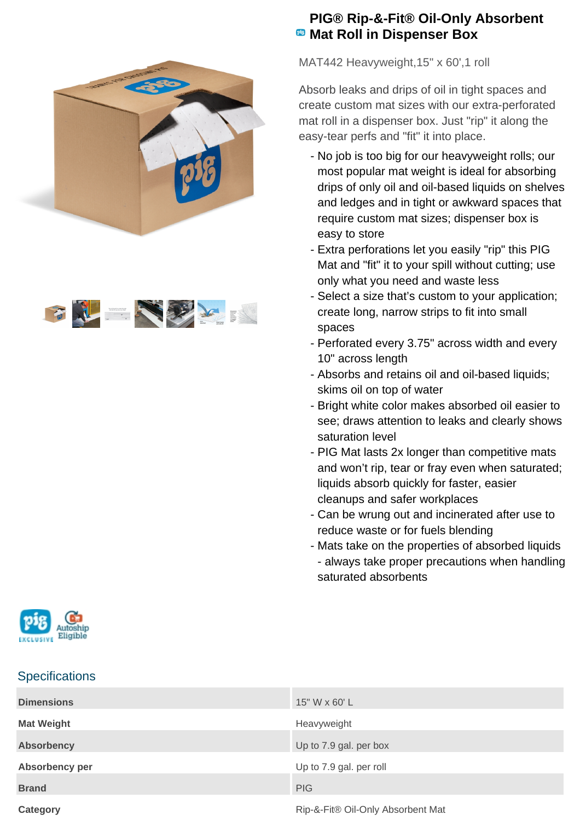



## **PIG® Rip-&-Fit® Oil-Only Absorbent Mat Roll in Dispenser Box**

MAT442 Heavyweight,15" x 60',1 roll

Absorb leaks and drips of oil in tight spaces and create custom mat sizes with our extra-perforated mat roll in a dispenser box. Just "rip" it along the easy-tear perfs and "fit" it into place.

- No job is too big for our heavyweight rolls; our most popular mat weight is ideal for absorbing drips of only oil and oil-based liquids on shelves and ledges and in tight or awkward spaces that require custom mat sizes; dispenser box is easy to store
- Extra perforations let you easily "rip" this PIG Mat and "fit" it to your spill without cutting; use only what you need and waste less
- Select a size that's custom to your application; create long, narrow strips to fit into small spaces
- Perforated every 3.75" across width and every 10" across length
- Absorbs and retains oil and oil-based liquids; skims oil on top of water
- Bright white color makes absorbed oil easier to see; draws attention to leaks and clearly shows saturation level
- PIG Mat lasts 2x longer than competitive mats and won't rip, tear or fray even when saturated; liquids absorb quickly for faster, easier cleanups and safer workplaces
- Can be wrung out and incinerated after use to reduce waste or for fuels blending
- Mats take on the properties of absorbed liquids - always take proper precautions when handling saturated absorbents



## **Specifications**

| <b>Dimensions</b> | 15" W x 60' L                     |
|-------------------|-----------------------------------|
| <b>Mat Weight</b> | Heavyweight                       |
| <b>Absorbency</b> | Up to 7.9 gal. per box            |
| Absorbency per    | Up to 7.9 gal. per roll           |
| <b>Brand</b>      | <b>PIG</b>                        |
| Category          | Rip-&-Fit® Oil-Only Absorbent Mat |